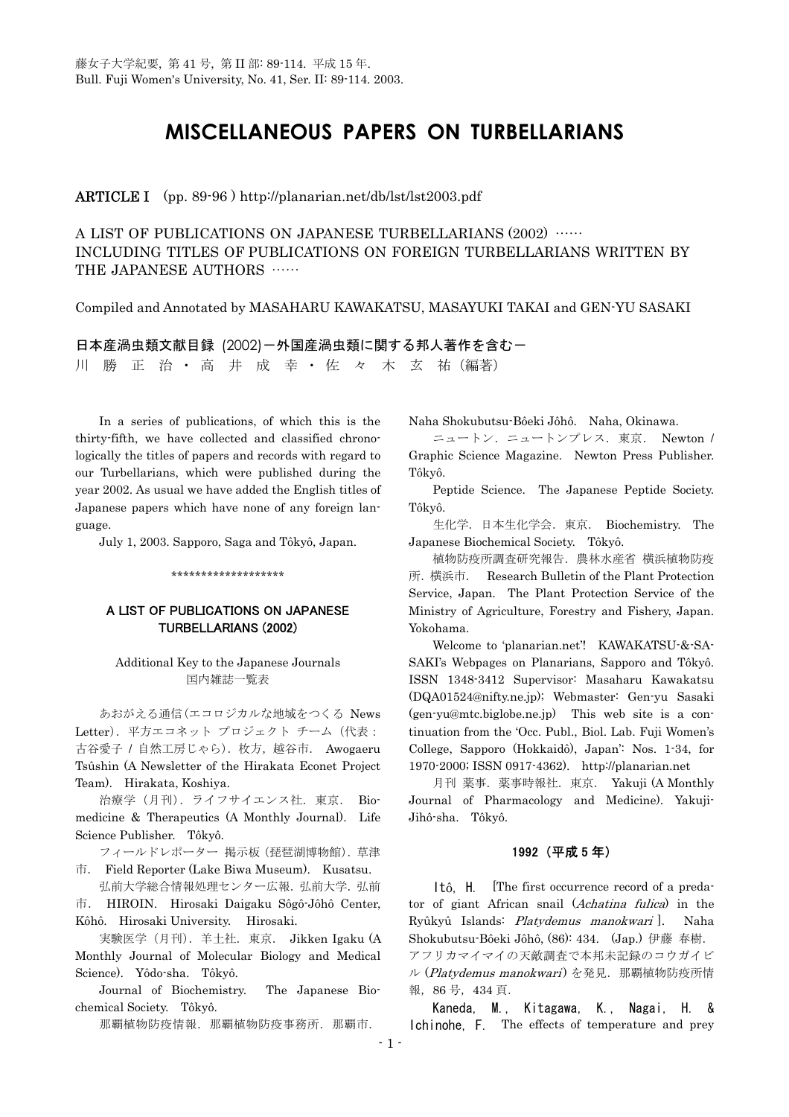# **MISCELLANEOUS PAPERS ON TURBELLARIANS**

#### ARTICLE I (pp. 89-96 ) http://planarian.net/db/lst/lst2003.pdf

A LIST OF PUBLICATIONS ON JAPANESE TURBELLARIANS (2002) …… INCLUDING TITLES OF PUBLICATIONS ON FOREIGN TURBELLARIANS WRITTEN BY THE JAPANESE AUTHORS ……

Compiled and Annotated by MASAHARU KAWAKATSU, MASAYUKI TAKAI and GEN-YU SASAKI

日本産渦虫類文献目録 (2002)ー外国産渦虫類に関する邦人著作を含むー 川 勝 正 治 · 高 井 成 幸 · 佐 々 木 玄 祐 (編著)

In a series of publications, of which this is the thirty-fifth, we have collected and classified chronologically the titles of papers and records with regard to our Turbellarians, which were published during the year 2002. As usual we have added the English titles of Japanese papers which have none of any foreign language.

July 1, 2003. Sapporo, Saga and Tôkyô, Japan.

# \*\*\*\*\*\*\*\*\*\*\*\*\*\*\*\*\*\*\*

## A LIST OF PUBLICATIONS ON JAPANESE TURBELLARIANS (2002)

### Additional Key to the Japanese Journals 国内雑誌一覧表

 あおがえる通信(エコロジカルな地域をつくる News Letter). 平方エコネット プロジェクト チーム (代表: 古谷愛子 / 自然工房じゃら).枚方,越谷市. Awogaeru Tsûshin (A Newsletter of the Hirakata Econet Project Team). Hirakata, Koshiya.

 治療学(月刊).ライフサイエンス社.東京. Biomedicine & Therapeutics (A Monthly Journal). Life Science Publisher. Tôkyô.

 フィールドレポーター 掲示板(琵琶湖博物館).草津 市. Field Reporter (Lake Biwa Museum). Kusatsu.

弘前大学総合情報処理センター広報. 弘前大学. 弘前 市. HIROIN. Hirosaki Daigaku Sôgô-Jôhô Center, Kôhô. Hirosaki University. Hirosaki.

実験医学(月刊). 羊土社. 東京. Jikken Igaku (A Monthly Journal of Molecular Biology and Medical Science). Yôdo-sha. Tôkyô.

 Journal of Biochemistry. The Japanese Biochemical Society. Tôkyô.

那覇植物防疫情報. 那覇植物防疫事務所. 那覇市.

Naha Shokubutsu-Bôeki Jôhô. Naha, Okinawa.

 ニュートン.ニュートンプレス.東京. Newton / Graphic Science Magazine. Newton Press Publisher. Tôkyô.

 Peptide Science. The Japanese Peptide Society. Tôkyô.

 生化学.日本生化学会.東京. Biochemistry. The Japanese Biochemical Society. Tôkyô.

 植物防疫所調査研究報告.農林水産省 横浜植物防疫 所.横浜市. Research Bulletin of the Plant Protection Service, Japan. The Plant Protection Service of the Ministry of Agriculture, Forestry and Fishery, Japan. Yokohama.

 Welcome to 'planarian.net'! KAWAKATSU-&-SA-SAKI's Webpages on Planarians, Sapporo and Tôkyô. ISSN 1348-3412 Supervisor: Masaharu Kawakatsu (DQA01524@nifty.ne.jp); Webmaster: Gen-yu Sasaki (gen-yu@mtc.biglobe.ne.jp) This web site is a continuation from the 'Occ. Publ., Biol. Lab. Fuji Women's College, Sapporo (Hokkaidô), Japan': Nos. 1-34, for 1970-2000; ISSN 0917-4362). http://planarian.net

 月刊 薬事.薬事時報社.東京. Yakuji (A Monthly Journal of Pharmacology and Medicine). Yakuji-Jihô-sha. Tôkyô.

#### 1992 (平成 5 年)

 Itô, H. [The first occurrence record of a preda-Ryûkyû Islands: *Platydemus manokwari* ]. Naha tor of giant African snail (Achatina fulica) in the Shokubutsu-Bôeki Jôhô, (86): 434. (Jap.) 伊藤 春樹.

ル (Platydemus manokwari) を発見. 那覇植物防疫所情 アフリカマイマイの天敵調査で本邦未記録のコウガイビ 報,86 号,434 頁.

 Kaneda, M., Kitagawa, K., Nagai, H. & Ichinohe, F. The effects of temperature and prey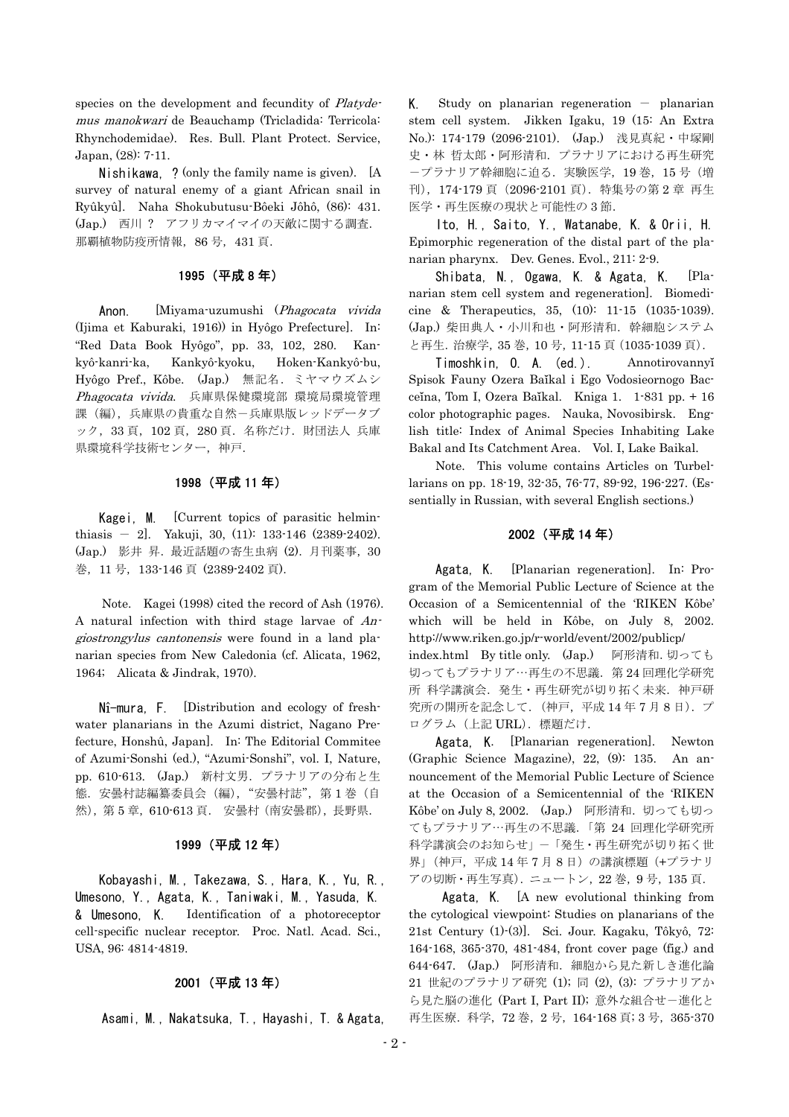species on the development and fecundity of Platydemus manokwari de Beauchamp (Tricladida: Terricola: Rhynchodemidae). Res. Bull. Plant Protect. Service, Japan, (28): 7-11.

 Nishikawa, ? (only the family name is given). [A survey of natural enemy of a giant African snail in Ryûkyû]. Naha Shokubutusu-Bôeki Jôhô, (86): 431. (Jap.) 西川 ? アフリカマイマイの天敵に関する調査. 那覇植物防疫所情報, 86号, 431 頁.

### 1995 (平成 8 年)

Anon. [Miyama-uzumushi (Phagocata vivida (Ijima et Kaburaki, 1916)) in Hyôgo Prefecture]. In: "Red Data Book Hyôgo", pp. 33, 102, 280. Kankyô-kanri-ka, Kankyô-kyoku, Hoken-Kankyô-bu, Hyôgo Pref., Kôbe. (Jap.) 無記名.ミヤマウズムシ Phagocata vivida. 兵庫県保健環境部 環境局環境管理 課(編),兵庫県の貴重な自然一兵庫県版レッドデータブ ック,33 頁,102 頁,280 頁.名称だけ.財団法人 兵庫 県環境科学技術センター,神戸.

#### 1998 (平成 11 年)

 Kagei, M. [Current topics of parasitic helminthiasis - 2]. Yakuji, 30,  $(11)$ : 133-146  $(2389-2402)$ . (Jap.) 影井 昇.最近話題の寄生虫病 (2).月刊薬事,30 巻,11 号,133-146 頁 (2389-2402 頁).

Note. Kagei (1998) cited the record of Ash (1976). A natural infection with third stage larvae of Angiostrongylus cantonensis were found in a land planarian species from New Caledonia (cf. Alicata, 1962, 1964; Alicata & Jindrak, 1970).

 Nî-mura, F. [Distribution and ecology of freshwater planarians in the Azumi district, Nagano Prefecture, Honshû, Japan]. In: The Editorial Commitee of Azumi-Sonshi (ed.), "Azumi-Sonshi", vol. I, Nature, pp. 610-613. (Jap.) 新村文男.プラナリアの分布と生 態. 安曇村誌編纂委員会(編), "安曇村誌", 第1巻(自 然),第 5 章,610-613 頁. 安曇村(南安曇郡),長野県.

#### 1999 (平成 12 年)

 Kobayashi, M., Takezawa, S., Hara, K., Yu, R., Umesono, Y., Agata, K., Taniwaki, M., Yasuda, K. & Umesono, K. Identification of a photoreceptor cell-specific nuclear receptor. Proc. Natl. Acad. Sci., USA, 96: 4814-4819.

#### 2001 (平成 13 年)

Asami, M., Nakatsuka, T., Hayashi, T. & Agata,

 $K$ . Study on planarian regeneration  $-$  planarian stem cell system. Jikken Igaku, 19 (15: An Extra No.): 174-179 (2096-2101). (Jap.) 浅見真紀・中塚剛 史・林 哲太郎・阿形清和.プラナリアにおける再生研究 ープラナリア幹細胞に迫る.実験医学,19巻,15号(増 刊), 174-179 頁 (2096-2101 頁). 特集号の第 2 章 再生 医学・再生医療の現状と可能性の 3 節.

Ito, H., Saito, Y., Watanabe, K. & Orii, H. Epimorphic regeneration of the distal part of the planarian pharynx. Dev. Genes. Evol., 211: 2-9.

Shibata, N., Ogawa, K. & Agata, K. [Planarian stem cell system and regeneration]. Biomedicine & Therapeutics, 35, (10): 11-15 (1035-1039). (Jap.) 柴田典人·小川和也·阿形清和. 幹細胞システム と再生.治療学,35 巻,10 号,11-15 頁(1035-1039 頁).

Timoshkin, O. A. (ed.). Annotirovannyĭ Spisok Fauny Ozera Baĭkal i Ego Vodosieornogo Bacceĭna, Tom I, Ozera Baĭkal. Kniga 1. 1-831 pp. + 16 color photographic pages. Nauka, Novosibirsk. English title: Index of Animal Species Inhabiting Lake Bakal and Its Catchment Area. Vol. I, Lake Baikal.

Note. This volume contains Articles on Turbellarians on pp. 18-19, 32-35, 76-77, 89-92, 196-227. (Essentially in Russian, with several English sections.)

## 2002 (平成 14 年)

Agata, K. [Planarian regeneration]. In: Program of the Memorial Public Lecture of Science at the Occasion of a Semicentennial of the 'RIKEN Kôbe' which will be held in Kôbe, on July 8, 2002. http://www.riken.go.jp/r-world/event/2002/publicp/ index.html By title only. (Jap.) 阿形清和. 切っても 切ってもプラナリア…再生の不思議. 第24回理化学研究 所 科学講演会. 発生・再生研究が切り拓く未来. 神戸研 究所の開所を記念して.(神戸,平成 14 年 7 月 8 日).プ ログラム(上記 URL).標題だけ.

Agata, K. [Planarian regeneration]. Newton (Graphic Science Magazine), 22, (9): 135. An announcement of the Memorial Public Lecture of Science at the Occasion of a Semicentennial of the 'RIKEN Kôbe' on July 8, 2002. (Jap.) 阿形清和.切っても切っ てもプラナリア…再生の不思議.「第 24 回理化学研究所 科学講演会のお知らせ」-「発生·再生研究が切り拓く世 界」(神戸,平成14年7月8日)の講演標題(+プラナリ アの切断・再生写真).ニュートン,22 巻,9 号,135 頁.

Agata, K. [A new evolutional thinking from the cytological viewpoint: Studies on planarians of the 21st Century (1)-(3)]. Sci. Jour. Kagaku, Tôkyô, 72: 164-168, 365-370, 481-484, front cover page (fig.) and 644-647. (Jap.) 阿形清和.細胞から見た新しき進化論 21 世紀のプラナリア研究 (1); 同 (2), (3): プラナリアか ら見た脳の進化 (Part I, Part II); 意外な組合せー進化と 再生医療. 科学, 72 巻, 2 号, 164-168 頁; 3 号, 365-370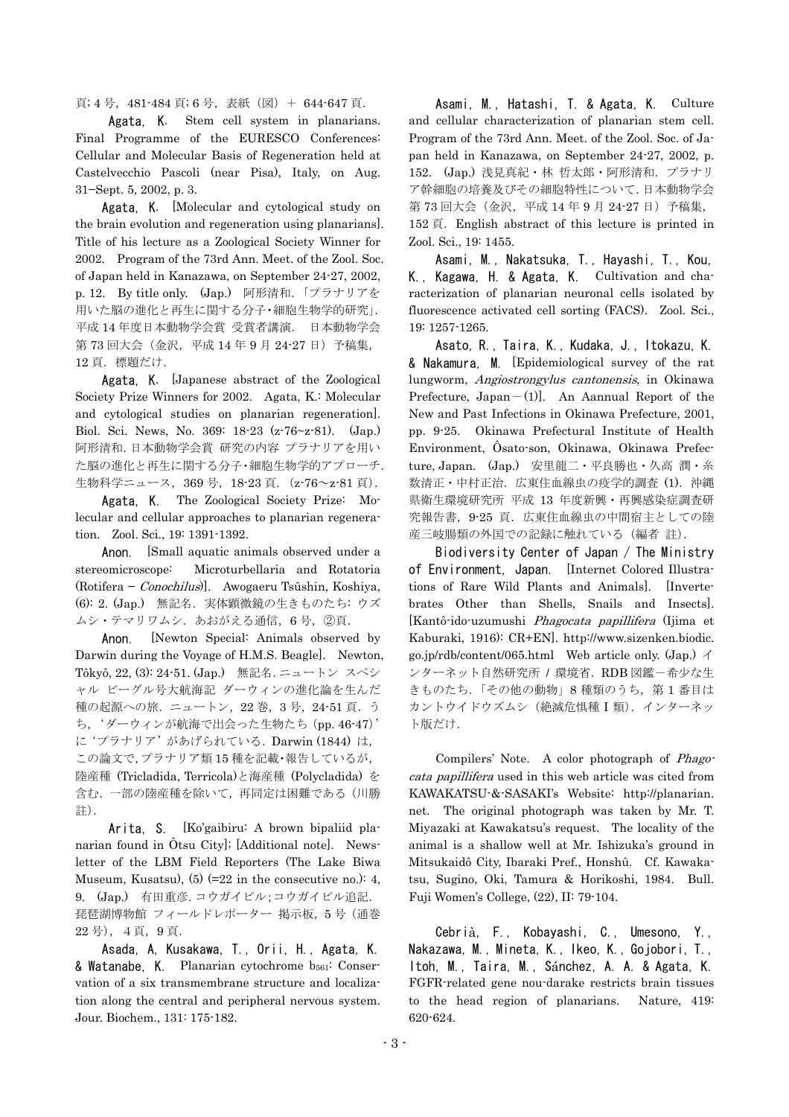頁; 4 号,481-484 頁; 6 号,表紙(図)+ 644-647 頁.

Agata, K. Stem cell system in planarians. Final Programme of the EURESCO Conferences: Cellular and Molecular Basis of Regeneration held at Castelvecchio Pascoli (near Pisa), Italy, on Aug. 31−Sept. 5, 2002, p. 3.

Agata, K. [Molecular and cytological study on the brain evolution and regeneration using planarians]. Title of his lecture as a Zoological Society Winner for 2002. Program of the 73rd Ann. Meet. of the Zool. Soc. of Japan held in Kanazawa, on September 24-27, 2002, p. 12. By title only. (Jap.) 阿形清和.「プラナリアを 用いた脳の進化と再生に関する分子・細胞生物学的研究」. 平成 14 年度日本動物学会賞 受賞者講演. 日本動物学会 第 73 回大会(金沢,平成 14年 9 月 24-27 日)予稿集, 12 頁. 標題だけ.

Agata, K. [Japanese abstract of the Zoological Society Prize Winners for 2002. Agata, K.: Molecular and cytological studies on planarian regeneration]. Biol. Sci. News, No. 369: 18-23 (z-76~z-81). (Jap.) 阿形清和.日本動物学会賞 研究の内容 プラナリアを用い た脳の進化と再生に関する分子・細胞生物学的アプローチ. 生物科学ニュース, 369号, 18-23 頁. (z-76~z-81 頁).

Agata, K. The Zoological Society Prize: Molecular and cellular approaches to planarian regeneration. Zool. Sci., 19: 1391-1392.

Anon. [Small aquatic animals observed under a stereomicroscope: Microturbellaria and Rotatoria (Rotifera − Conochilus)]. Awogaeru Tsûshin, Koshiya, (6): 2. (Jap.) 無記名. 実体顕微鏡の生きものたち: ウズ ムシ・テマリワムシ. あおがえる通信, 6号, 2頁.

Anon. [Newton Special: Animals observed by Darwin during the Voyage of H.M.S. Beagle]. Newton, Tôkyô, 22, (3): 24-51. (Jap.) 無記名.ニュートン スペシ ャル ビーグル号大航海記 ダーウィンの進化論を生んだ 種の起源への旅.ニュートン,22 巻,3 号,24-51 頁.う ち,'ダーウィンが航海で出会った生物たち(pp. 46-47)' に'プラナリア'があげられている.Darwin (1844) は, この論文で,プラナリア類 15 種を記載・報告しているが, 陸産種 (Tricladida, Terricola)と海産種 (Polycladida) を 含む.一部の陸産種を除いて,再同定は困難である(川勝 註).

Arita, S. [Ko'gaibiru: A brown bipaliid planarian found in Ôtsu City]; [Additional note]. Newsletter of the LBM Field Reporters (The Lake Biwa Museum, Kusatsu),  $(5)$  (=22 in the consecutive no.): 4, 9. (Jap.) 有田重彦.コウガイビル;コウガイビル追記. 琵琶湖博物館 フィールドレポーター 掲示板,5 号(通巻 22 号),4頁,9 頁.

Asada, A, Kusakawa, T., Orii, H., Agata, K. & Watanabe, K. Planarian cytochrome b<sub>561</sub>: Conservation of a six transmembrane structure and localization along the central and peripheral nervous system. Jour. Biochem., 131: 175-182.

Asami, M., Hatashi, T. & Agata, K. Culture and cellular characterization of planarian stem cell. Program of the 73rd Ann. Meet. of the Zool. Soc. of Japan held in Kanazawa, on September 24-27, 2002, p. 152. (Jap.) 浅見真紀・林 哲太郎・阿形清和.プラナリ ア幹細胞の培養及びその細胞特性について.日本動物学会 第 73 回大会(金沢,平成 14年 9月 24-27 日)予稿集, 152 頁.English abstract of this lecture is printed in Zool. Sci., 19: 1455.

Asami, M., Nakatsuka, T., Hayashi, T., Kou, K., Kagawa, H. & Agata, K. Cultivation and characterization of planarian neuronal cells isolated by fluorescence activated cell sorting (FACS). Zool. Sci., 19: 1257-1265.

Asato, R., Taira, K., Kudaka, J., Itokazu, K. & Nakamura, M. [Epidemiological survey of the rat lungworm, Angiostrongylus cantonensis, in Okinawa Prefecture, Japan $-(1)$ ]. An Aannual Report of the New and Past Infections in Okinawa Prefecture, 2001, pp. 9-25. Okinawa Prefectural Institute of Health Environment, Ôsato-son, Okinawa, Okinawa Prefecture, Japan. (Jap.) 安里龍二・平良勝也・久高 潤・糸 数清正・中村正治.広東住血線虫の疫学的調査 (1).沖縄 県衛生環境研究所 平成 13 年度新興・再興感染症調査研 究報告書, 9-25 頁. 広東住血線虫の中間宿主としての陸 産三岐腸類の外国での記録に触れている(編者 註).

Biodiversity Center of Japan / The Ministry of Environment, Japan. [Internet Colored Illustrations of Rare Wild Plants and Animals]. [Invertebrates Other than Shells, Snails and Insects]. [Kantô-ido-uzumushi Phagocata papillifera (Ijima et Kaburaki, 1916): CR+EN]. http://www.sizenken.biodic. go.jp/rdb/content/065.html Web article only. (Jap.) イ ンターネット自然研究所 / 環境省. RDB 図鑑-希少な生 きものたち.「その他の動物」8種類のうち、第1番目は カントウイドウズムシ(絶滅危惧種 I 類).インターネッ ト版だけ.

Compilers' Note. A color photograph of Phagocata papillifera used in this web article was cited from KAWAKATSU-&-SASAKI's Website: http://planarian. net. The original photograph was taken by Mr. T. Miyazaki at Kawakatsu's request. The locality of the animal is a shallow well at Mr. Ishizuka's ground in Mitsukaidô City, Ibaraki Pref., Honshû. Cf. Kawakatsu, Sugino, Oki, Tamura & Horikoshi, 1984. Bull. Fuji Women's College, (22), II: 79-104.

Cebrià, F., Kobayashi, C., Umesono, Y., Nakazawa, M., Mineta, K., Ikeo, K., Gojobori, T., Itoh, M., Taira, M., Sánchez, A. A. & Agata, K. FGFR-related gene nou-darake restricts brain tissues to the head region of planarians. Nature, 419: 620-624.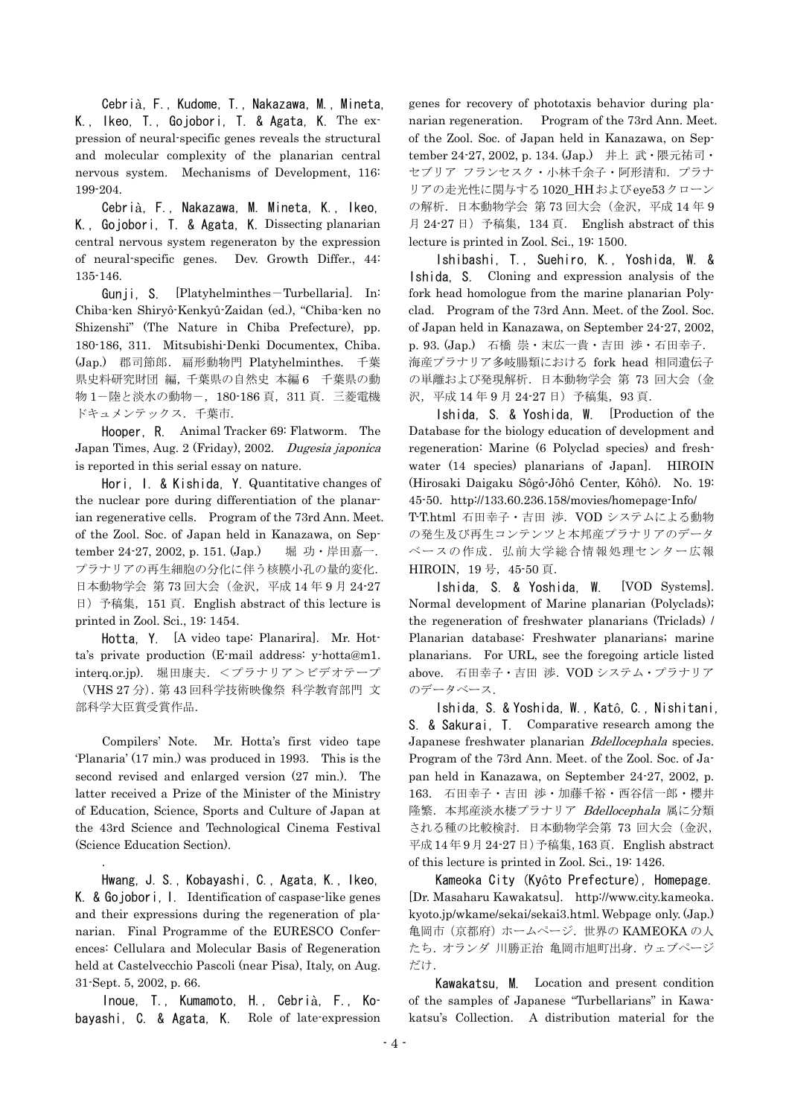Cebrià, F., Kudome, T., Nakazawa, M., Mineta, K., Ikeo, T., Gojobori, T. & Agata, K. The expression of neural-specific genes reveals the structural and molecular complexity of the planarian central nervous system. Mechanisms of Development, 116: 199-204.

Cebrià, F., Nakazawa, M. Mineta, K., Ikeo, K., Gojobori, T. & Agata, K. Dissecting planarian central nervous system regeneraton by the expression of neural-specific genes. Dev. Growth Differ., 44: 135-146.

Gunji, S. [Platyhelminthes-Turbellaria]. In: Chiba-ken Shiryô-Kenkyû-Zaidan (ed.), "Chiba-ken no Shizenshi" (The Nature in Chiba Prefecture), pp. 180-186, 311. Mitsubishi-Denki Documentex, Chiba. (Jap.) 郡司節郎.扁形動物門 Platyhelminthes. 千葉 県史料研究財団 編,千葉県の自然史 本編 6 千葉県の動 物 1-陸と淡水の動物-,180-186 頁,311 頁.三菱電機 ドキュメンテックス.千葉市.

Hooper, R. Animal Tracker 69: Flatworm. The Japan Times, Aug. 2 (Friday), 2002. Dugesia japonica is reported in this serial essay on nature.

Hori, I. & Kishida, Y. Quantitative changes of the nuclear pore during differentiation of the planarian regenerative cells. Program of the 73rd Ann. Meet. of the Zool. Soc. of Japan held in Kanazawa, on September 24-27, 2002, p. 151. (Jap.) 堀 功·岸田嘉一. プラナリアの再生細胞の分化に伴う核膜小孔の量的変化. 日本動物学会 第 73 回大会(金沢,平成 14 年 9 月 24-27 日)予稿集,151 頁.English abstract of this lecture is printed in Zool. Sci., 19: 1454.

Hotta, Y. [A video tape: Planarira]. Mr. Hotta's private production (E-mail address: y-hotta@m1. interq.or.jp). 堀田康夫.<プラナリア>ビデオテープ (VHS 27 分).第 43 回科学技術映像祭 科学教育部門 文 部科学大臣賞受賞作品.

Compilers' Note. Mr. Hotta's first video tape 'Planaria' (17 min.) was produced in 1993. This is the second revised and enlarged version (27 min.). The latter received a Prize of the Minister of the Ministry of Education, Science, Sports and Culture of Japan at the 43rd Science and Technological Cinema Festival (Science Education Section).

Hwang, J. S., Kobayashi, C., Agata, K., Ikeo, K. & Gojobori, I. Identification of caspase-like genes and their expressions during the regeneration of planarian. Final Programme of the EURESCO Conferences: Cellulara and Molecular Basis of Regeneration held at Castelvecchio Pascoli (near Pisa), Italy, on Aug. 31-Sept. 5, 2002, p. 66.

.

Inoue, T., Kumamoto, H., Cebrià, F., Kobayashi, C. & Agata, K. Role of late-expression

genes for recovery of phototaxis behavior during planarian regeneration. Program of the 73rd Ann. Meet. of the Zool. Soc. of Japan held in Kanazawa, on September 24-27, 2002, p. 134. (Jap.) 井上 武・隈元祐司・ セブリア フランセスク・小林千余子・阿形清和.プラナ リアの走光性に関与する1020\_HHおよびeye53クローン の解析.日本動物学会 第 73 回大会(金沢,平成 14 年 9 月 24-27 日)予稿集,134 頁. English abstract of this lecture is printed in Zool. Sci., 19: 1500.

Ishibashi, T., Suehiro, K., Yoshida, W. & Ishida, S. Cloning and expression analysis of the fork head homologue from the marine planarian Polyclad. Program of the 73rd Ann. Meet. of the Zool. Soc. of Japan held in Kanazawa, on September 24-27, 2002, p. 93. (Jap.) 石橋 崇・末広一貴・吉田 渉・石田幸子. 海産プラナリア多岐腸類における fork head 相同遺伝子 の単離および発現解析. 日本動物学会 第 73 回大会(金 沢, 平成 14年 9月 24-27日)予稿集, 93頁.

Ishida, S. & Yoshida, W. [Production of the Database for the biology education of development and regeneration: Marine (6 Polyclad species) and freshwater (14 species) planarians of Japan]. HIROIN (Hirosaki Daigaku Sôgô-Jôhô Center, Kôhô). No. 19: 45-50. http://133.60.236.158/movies/homepage-Info/ T-T.html 石田幸子・吉田 渉.VOD システムによる動物 の発生及び再生コンテンツと本邦産プラナリアのデータ ベースの作成.弘前大学総合情報処理センター広報 HIROIN, 19号, 45-50 頁.

Ishida, S. & Yoshida, W. [VOD Systems]. Normal development of Marine planarian (Polyclads); the regeneration of freshwater planarians (Triclads) / Planarian database: Freshwater planarians; marine planarians. For URL, see the foregoing article listed above. 石田幸子・吉田 渉.VOD システム・プラナリア のデータベース.

Ishida, S. & Yoshida, W., Katô, C., Nishitani, S. & Sakurai, T. Comparative research among the Japanese freshwater planarian Bdellocephala species. Program of the 73rd Ann. Meet. of the Zool. Soc. of Japan held in Kanazawa, on September 24-27, 2002, p. 163. 石田幸子・吉田 渉・加藤千裕・西谷信一郎・櫻井 隆繁. 本邦産淡水棲プラナリア Bdellocephala 属に分類 される種の比較検討.日本動物学会第 73 回大会(金沢, 平成14年9月24-27日)予稿集,163頁. English abstract of this lecture is printed in Zool. Sci., 19: 1426.

Kameoka City (Kyôto Prefecture), Homepage. [Dr. Masaharu Kawakatsu]. http://www.city.kameoka. kyoto.jp/wkame/sekai/sekai3.html. Webpage only. (Jap.) 亀岡市(京都府)ホームページ.世界の KAMEOKA の人 たち.オランダ 川勝正治 亀岡市旭町出身.ウェブページ だけ.

Kawakatsu, M. Location and present condition of the samples of Japanese "Turbellarians" in Kawakatsu's Collection. A distribution material for the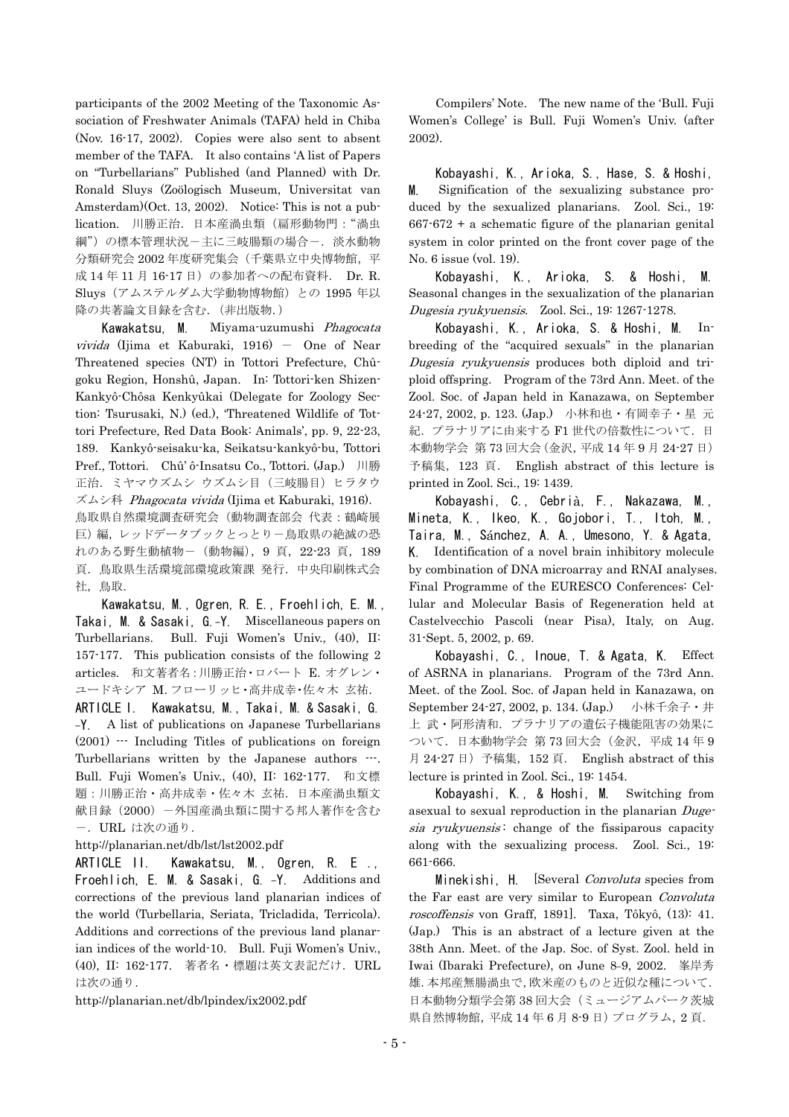participants of the 2002 Meeting of the Taxonomic Association of Freshwater Animals (TAFA) held in Chiba (Nov. 16-17, 2002). Copies were also sent to absent member of the TAFA. It also contains 'A list of Papers on "Turbellarians" Published (and Planned) with Dr. Ronald Sluys (Zoölogisch Museum, Universitat van Amsterdam)(Oct. 13, 2002). Notice: This is not a publication. 川勝正治.日本産渦虫類(扁形動物門:"渦虫 綱")の標本管理状況一主に三岐腸類の場合-. 淡水動物 分類研究会 2002 年度研究集会(千葉県立中央博物館,平 成 14年 11月 16-17日)の参加者への配布資料. Dr. R. Sluys(アムステルダム大学動物博物館)との 1995 年以 降の共著論文目録を含む.(非出版物.)

Kawakatsu, M. Miyama-uzumushi Phagocata vivida (Ijima et Kaburaki, 1916) - One of Near Threatened species (NT) in Tottori Prefecture, Chûgoku Region, Honshû, Japan. In: Tottori-ken Shizen-Kankyô-Chôsa Kenkyûkai (Delegate for Zoology Section: Tsurusaki, N.) (ed.), 'Threatened Wildlife of Tottori Prefecture, Red Data Book: Animals', pp. 9, 22-23, 189. Kankyô-seisaku-ka, Seikatsu-kankyô-bu, Tottori Pref., Tottori. Chû' ô-Insatsu Co., Tottori. (Jap.) 川勝 正治.ミヤマウズムシ ウズムシ目(三岐腸目)ヒラタウ ズムシ科 *Phagocata vivida* (Ijima et Kaburaki, 1916). 鳥取県自然環境調査研究会(動物調査部会 代表:鶴崎展 巨)編,レッドデータブックとっとり-鳥取県の絶滅の恐 れのある野生動植物-(動物編),9 頁,22-23 頁,189 頁.鳥取県生活環境部環境政策課 発行.中央印刷株式会 社,鳥取.

Kawakatsu, M., Ogren, R. E., Froehlich, E. M., Takai, M. & Sasaki, G.-Y. Miscellaneous papers on Turbellarians. Bull. Fuji Women's Univ., (40), II: 157-177. This publication consists of the following 2 articles. 和文著者名:川勝正治・ロバート E.オグレン・ ユードキシア M.フローリッヒ・高井成幸・佐々木 玄祐.

ARTICLE I. Kawakatsu, M., Takai, M. & Sasaki, G. -Y. A list of publications on Japanese Turbellarians (2001) --- Including Titles of publications on foreign Turbellarians written by the Japanese authors  $\cdots$ . Bull. Fuji Women's Univ., (40), II: 162-177. 和文標 題:川勝正治・高井成幸・佐々木 玄祐. 日本産渦虫類文 献目録(2000)-外国産渦虫類に関する邦人著作を含む -.URL は次の通り.

http://planarian.net/db/lst/lst2002.pdf

ARTICLE II. Kawakatsu, M., Ogren, R. E ., Froehlich, E. M. & Sasaki, G. -Y. Additions and corrections of the previous land planarian indices of the world (Turbellaria, Seriata, Tricladida, Terricola). Additions and corrections of the previous land planarian indices of the world-10. Bull. Fuji Women's Univ., (40), II: 162-177. 著者名・標題は英文表記だけ.URL は次の通り.

http://planarian.net/db/lpindex/ix2002.pdf

Compilers' Note. The new name of the 'Bull. Fuji Women's College' is Bull. Fuji Women's Univ. (after 2002).

Kobayashi, K., Arioka, S., Hase, S. & Hoshi, M. Signification of the sexualizing substance produced by the sexualized planarians. Zool. Sci., 19:  $667-672 + a$  schematic figure of the planarian genital system in color printed on the front cover page of the No. 6 issue (vol. 19).

Kobayashi, K., Arioka, S. & Hoshi, M. Seasonal changes in the sexualization of the planarian Dugesia ryukyuensis. Zool. Sci., 19: 1267-1278.

Kobayashi, K., Arioka, S. & Hoshi, M. Inbreeding of the "acquired sexuals" in the planarian Dugesia ryukyuensis produces both diploid and triploid offspring. Program of the 73rd Ann. Meet. of the Zool. Soc. of Japan held in Kanazawa, on September 24-27, 2002, p. 123. (Jap.) 小林和也・有岡幸子・星 元 紀. プラナリアに由来する F1 世代の倍数性について. 日 本動物学会 第 73 回大会(金沢,平成 14 年 9 月 24-27 日) 予稿集,123 頁. English abstract of this lecture is printed in Zool. Sci., 19: 1439.

Kobayashi, C., Cebrià, F., Nakazawa, M., Mineta, K., Ikeo, K., Gojobori, T., Itoh, M., Taira, M., Sánchez, A. A., Umesono, Y. & Agata, K. Identification of a novel brain inhibitory molecule by combination of DNA microarray and RNAI analyses. Final Programme of the EURESCO Conferences: Cellular and Molecular Basis of Regeneration held at Castelvecchio Pascoli (near Pisa), Italy, on Aug. 31-Sept. 5, 2002, p. 69.

Kobayashi, C., Inoue, T. & Agata, K. Effect of ASRNA in planarians. Program of the 73rd Ann. Meet. of the Zool. Soc. of Japan held in Kanazawa, on September 24-27, 2002, p. 134. (Jap.) 小林千余子・井 上 武・阿形清和.プラナリアの遺伝子機能阻害の効果に ついて.日本動物学会 第 73 回大会(金沢,平成 14 年 9 月 24-27 日)予稿集,152 頁. English abstract of this lecture is printed in Zool. Sci., 19: 1454.

Kobayashi, K., & Hoshi, M. Switching from asexual to sexual reproduction in the planarian Dugesia ryukyuensis: change of the fissiparous capacity along with the sexualizing process. Zool. Sci., 19: 661-666.

Minekishi, H. [Several *Convoluta* species from the Far east are very similar to European Convoluta roscoffensis von Graff, 1891]. Taxa, Tôkyô, (13): 41. (Jap.) This is an abstract of a lecture given at the 38th Ann. Meet. of the Jap. Soc. of Syst. Zool. held in Iwai (Ibaraki Prefecture), on June 8−9, 2002. 峯岸秀 雄.本邦産無腸渦虫で,欧米産のものと近似な種について. 日本動物分類学会第 38 回大会(ミュージアムパーク茨城 県自然博物館,平成14年6月8-9日)プログラム,2頁.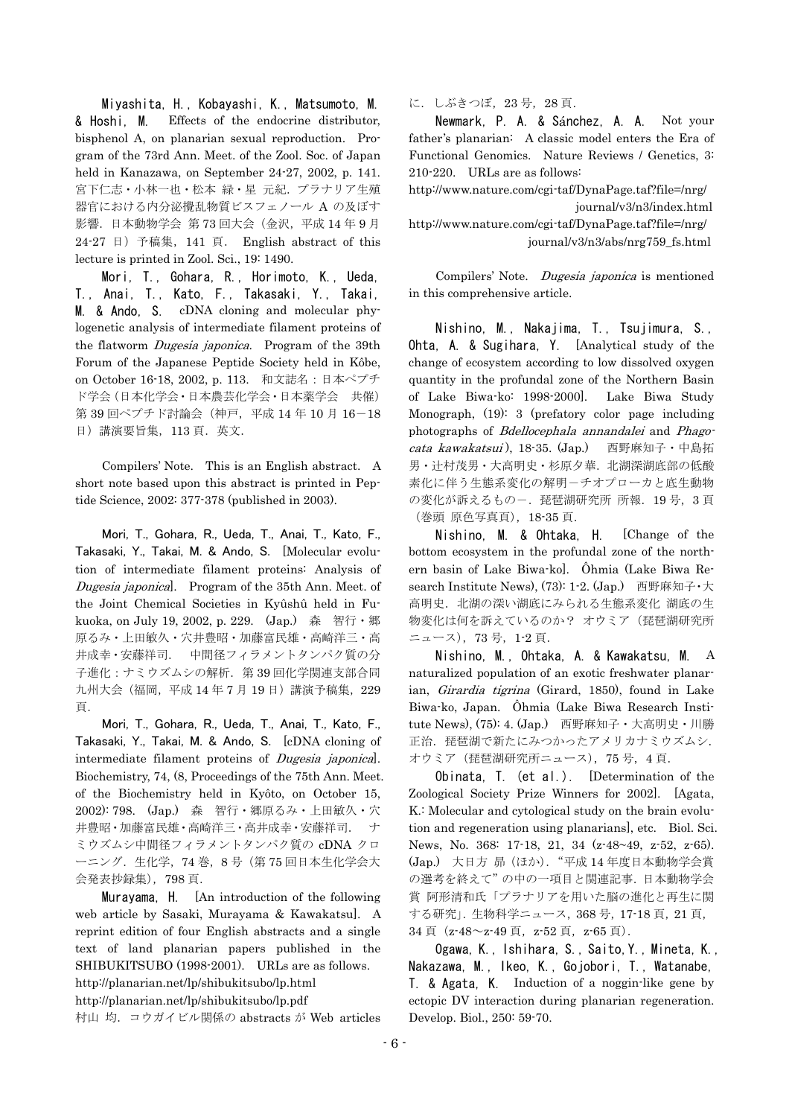Miyashita, H., Kobayashi, K., Matsumoto, M. & Hoshi, M. Effects of the endocrine distributor, bisphenol A, on planarian sexual reproduction. Program of the 73rd Ann. Meet. of the Zool. Soc. of Japan held in Kanazawa, on September 24-27, 2002, p. 141. 宮下仁志・小林一也・松本 緑・星 元紀. プラナリア生殖 器官における内分泌攪乱物質ビスフェノール A の及ぼす 影響.日本動物学会 第 73 回大会(金沢,平成 14 年 9 月 24-27 日)予稿集,141 頁. English abstract of this lecture is printed in Zool. Sci., 19: 1490.

Mori, T., Gohara, R., Horimoto, K., Ueda, T., Anai, T., Kato, F., Takasaki, Y., Takai, M. & Ando, S. cDNA cloning and molecular phylogenetic analysis of intermediate filament proteins of the flatworm Dugesia japonica. Program of the 39th Forum of the Japanese Peptide Society held in Kôbe, on October 16-18, 2002, p. 113. 和文誌名:日本ペプチ ド学会(日本化学会・日本農芸化学会・日本薬学会 共催) 第39回ペプチド討論会(神戸, 平成 14年10月16-18 日)講演要旨集, 113 頁. 英文.

Compilers' Note. This is an English abstract. A short note based upon this abstract is printed in Peptide Science, 2002: 377-378 (published in 2003).

Mori, T., Gohara, R., Ueda, T., Anai, T., Kato, F., Takasaki, Y., Takai, M. & Ando, S. [Molecular evolution of intermediate filament proteins: Analysis of Dugesia japonica]. Program of the 35th Ann. Meet. of the Joint Chemical Societies in Kyûshû held in Fukuoka, on July 19, 2002, p. 229. (Jap.) 森 智行・郷 原るみ・上田敏久・穴井豊昭・加藤富民雄・高崎洋三・高 井成幸・安藤祥司. 中間径フィラメントタンパク質の分 子進化:ナミウズムシの解析.第 39 回化学関連支部合同 九州大会(福岡,平成 14 年 7 月 19 日)講演予稿集,229 頁.

Mori, T., Gohara, R., Ueda, T., Anai, T., Kato, F., Takasaki, Y., Takai, M. & Ando, S. [cDNA cloning of intermediate filament proteins of *Dugesia japonica*]. Biochemistry, 74, (8, Proceedings of the 75th Ann. Meet. of the Biochemistry held in Kyôto, on October 15, 2002): 798. (Jap.) 森 智行・郷原るみ・上田敏久・穴 井豊昭・加藤富民雄・高崎洋三・高井成幸・安藤祥司. ナ ミウズムシ中間径フィラメントタンパク質の cDNA クロ ーニング. 生化学, 74 巻, 8号 (第 75 回日本生化学会大 会発表抄録集),798 頁.

Murayama, H. [An introduction of the following web article by Sasaki, Murayama & Kawakatsu]. A reprint edition of four English abstracts and a single text of land planarian papers published in the SHIBUKITSUBO (1998-2001). URLs are as follows. http://planarian.net/lp/shibukitsubo/lp.html http://planarian.net/lp/shibukitsubo/lp.pdf 村山 均.コウガイビル関係の abstracts が Web articles に.しぶきつぼ,23 号,28 頁.

Newmark, P. A. & Sánchez, A. A. Not your father's planarian: A classic model enters the Era of Functional Genomics. Nature Reviews / Genetics, 3: 210-220. URLs are as follows:

http://www.nature.com/cgi-taf/DynaPage.taf?file=/nrg/ journal/v3/n3/index.html http://www.nature.com/cgi-taf/DynaPage.taf?file=/nrg/

journal/v3/n3/abs/nrg759\_fs.html

Compilers' Note. Dugesia japonica is mentioned in this comprehensive article.

photographs of Bdellocephala annandalei and Phago-Nishino, M., Nakajima, T., Tsujimura, S., Ohta, A. & Sugihara, Y. [Analytical study of the change of ecosystem according to low dissolved oxygen quantity in the profundal zone of the Northern Basin of Lake Biwa-ko: 1998-2000]. Lake Biwa Study Monograph, (19): 3 (prefatory color page including cata kawakatsui), 18-35. (Jap.) 西野麻知子·中島拓 男・辻村茂男・大高明史・杉原夕華. 北湖深湖底部の低酸 素化に伴う生態系変化の解明-チオプローカと底生動物 の変化が訴えるもの-.琵琶湖研究所 所報.19 号,3 頁 (巻頭 原色写真頁),18-35 頁.

Nishino, M. & Ohtaka, H. [Change of the bottom ecosystem in the profundal zone of the northern basin of Lake Biwa-ko]. Ôhmia (Lake Biwa Research Institute News), (73): 1-2. (Jap.) 西野麻知子・大 高明史. 北湖の深い湖底にみられる生態系変化 湖底の生 物変化は何を訴えているのか? オウミア(琵琶湖研究所 ニュース), 73号, 1-2 頁.

Nishino, M., Ohtaka, A. & Kawakatsu, M. A naturalized population of an exotic freshwater planarian, Girardia tigrina (Girard, 1850), found in Lake Biwa-ko, Japan. Ôhmia (Lake Biwa Research Institute News), (75): 4. (Jap.) 西野麻知子・大高明史・川勝 正治.琵琶湖で新たにみつかったアメリカナミウズムシ. オウミア(琵琶湖研究所ニュース),75 号,4 頁.

Obinata, T. (et al.). [Determination of the Zoological Society Prize Winners for 2002]. [Agata, K.: Molecular and cytological study on the brain evolution and regeneration using planarians], etc. Biol. Sci. News, No. 368: 17-18, 21, 34 (z-48~49, z-52, z-65). (Jap.) 大日方 昴(ほか)."平成 14 年度日本動物学会賞 の選考を終えて"の中の一項目と関連記事.日本動物学会 賞 阿形清和氏「プラナリアを用いた脳の進化と再生に関 する研究」.生物科学ニュース, 368号, 17-18 頁, 21 頁, 34 頁 (z-48~z-49 頁, z-52 頁, z-65 頁).

Ogawa, K., Ishihara, S., Saito,Y., Mineta, K., Nakazawa, M., Ikeo, K., Gojobori, T., Watanabe, T. & Agata, K. Induction of a noggin-like gene by ectopic DV interaction during planarian regeneration. Develop. Biol., 250: 59-70.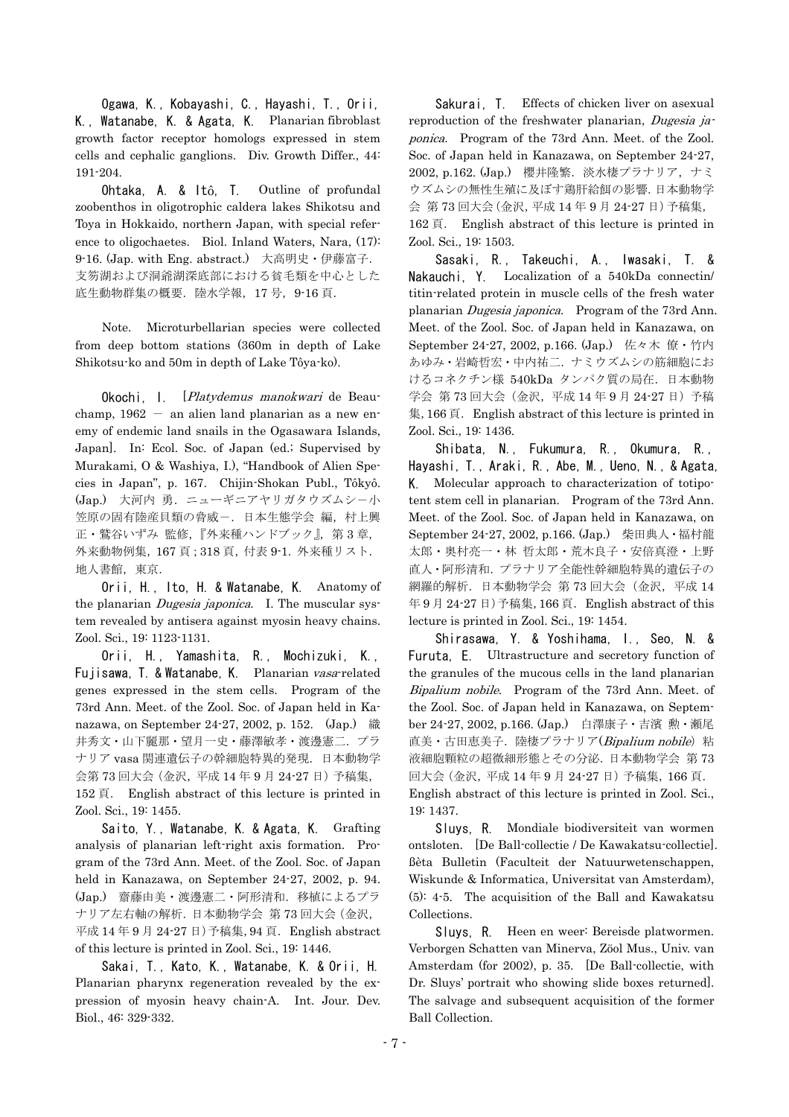Ogawa, K., Kobayashi, C., Hayashi, T., Orii, K., Watanabe, K. & Agata, K. Planarian fibroblast growth factor receptor homologs expressed in stem cells and cephalic ganglions. Div. Growth Differ., 44: 191-204.

Ohtaka, A. & Itô, T. Outline of profundal zoobenthos in oligotrophic caldera lakes Shikotsu and Toya in Hokkaido, northern Japan, with special reference to oligochaetes. Biol. Inland Waters, Nara, (17): 9-16. (Jap. with Eng. abstract.) 大高明史・伊藤富子. 支笏湖および洞爺湖深底部における貧毛類を中心とした 底生動物群集の概要. 陸水学報, 17 号, 9-16 頁.

Note. Microturbellarian species were collected from deep bottom stations (360m in depth of Lake Shikotsu-ko and 50m in depth of Lake Tôya-ko).

**Okochi, I.** [*Platydemus manokwari* de Beauchamp,  $1962 -$  an alien land planarian as a new enemy of endemic land snails in the Ogasawara Islands, Japan]. In: Ecol. Soc. of Japan (ed.; Supervised by Murakami, O & Washiya, I.), "Handbook of Alien Species in Japan", p. 167. Chijin-Shokan Publ., Tôkyô. (Jap.) 大河内 勇.ニューギニアヤリガタウズムシ-小 笠原の固有陸産貝類の脅威-.日本生態学会 編,村上興 正・鷲谷いずみ 監修,『外来種ハンドブック』,第3章, 外来動物例集,167 頁;318 頁,付表 9-1.外来種リスト. 地人書館, 東京.

the planarian *Dugesia japonica*. I. The muscular sys-Orii, H., Ito, H. & Watanabe, K. Anatomy of tem revealed by antisera against myosin heavy chains. Zool. Sci., 19: 1123-1131.

Planarian vasa related Orii, H., Yamashita, R., Mochizuki, K., Fujisawa, T. & Watanabe, K. genes expressed in the stem cells. Program of the 73rd Ann. Meet. of the Zool. Soc. of Japan held in Kanazawa, on September 24-27, 2002, p. 152. (Jap.) 織 井秀文・山下麗那・望月一史・藤澤敏孝・渡邊憲二.プラ ナリア vasa 関連遺伝子の幹細胞特異的発現.日本動物学 会第 73 回大会(金沢,平成 14 年 9 月 24-27 日)予稿集, 152 頁. English abstract of this lecture is printed in

Zool. Sci., 19: 1455.

Saito, Y., Watanabe, K. & Agata, K. Grafting analysis of planarian left-right axis formation. Program of the 73rd Ann. Meet. of the Zool. Soc. of Japan held in Kanazawa, on September 24-27, 2002, p. 94. (Jap.) 齋藤由美・渡邊憲二・阿形清和.移植によるプラ ナリア左右軸の解析.日本動物学会 第 73 回大会(金沢, 平成 14 年 9 月 24-27 日)予稿集,94 頁. English abstract of this lecture is printed in Zool. Sci., 19: 1446.

Sakai, T., Kato, K., Watanabe, K. & Orii, H. Planarian pharynx regeneration revealed by the expression of myosin heavy chain-A. Int. Jour. Dev. Biol., 46: 329-332.

reproduction of the freshwater planarian, Dugesia ja-Sakurai, T. Effects of chicken liver on asexual ponica. Program of the 73rd Ann. Meet. of the Zool. Soc. of Japan held in Kanazawa, on September 24-27, 2002, p.162. (Jap.) 櫻井隆繁. 淡水棲プラナリア, ナミ ウズムシの無性生殖に及ぼす鶏肝給餌の影響.日本動物学 会 第 73 回大会(金沢,平成 14 年 9 月 24-27 日)予稿集, 162 頁. English abstract of this lecture is printed in

Zool. Sci., 19: 1503.

planarian *Dugesia japonica*. Program of the 73rd Ann. Sasaki, R., Takeuchi, A., Iwasaki, T. & Nakauchi, Y. Localization of a 540kDa connectin/ titin-related protein in muscle cells of the fresh water Meet. of the Zool. Soc. of Japan held in Kanazawa, on September 24-27, 2002, p.166. (Jap.) 佐々木 僚・竹内 あゆみ・岩崎哲宏・中内祐二.ナミウズムシの筋細胞にお けるコネクチン様 540kDa タンパク質の局在.日本動物 学会 第 73 回大会(金沢,平成 14 年 9 月 24-27 日)予稿 集,166 頁.English abstract of this lecture is printed in Zool. Sci., 19: 1436.

Shibata, N., Fukumura, R., Okumura, R., Hayashi, T., Araki, R., Abe, M., Ueno, N., & Agata, K. Molecular approach to characterization of totipotent stem cell in planarian. Program of the 73rd Ann. Meet. of the Zool. Soc. of Japan held in Kanazawa, on September 24-27, 2002, p.166. (Jap.) 柴田典人・福村龍 太郎・奥村亮一・林 哲太郎・荒木良子・安倍真澄・上野 直人・阿形清和.プラナリア全能性幹細胞特異的遺伝子の 網羅的解析.日本動物学会 第 73 回大会(金沢,平成 14 年 9 月 24-27 日) 予稿集, 166 頁. English abstract of this lecture is printed in Zool. Sci., 19: 1454.

Shirasawa, Y. & Yoshihama, I., Seo, N. & Furuta, E. Ultrastructure and secretory function of the granules of the mucous cells in the land planarian Bipalium nobile. Program of the 73rd Ann. Meet. of the Zool. Soc. of Japan held in Kanazawa, on September 24-27, 2002, p.166. (Jap.) 白澤康子・吉濱 勲・瀬尾 直美·古田恵美子. 陸棲プラナリア(Bipalium nobile) 粘 液細胞顆粒の超微細形態とその分泌.日本動物学会 第 73 回大会(金沢,平成 14 年 9 月 24-27 日)予稿集,166 頁. English abstract of this lecture is printed in Zool. Sci., 19: 1437.

Sluys, R. Mondiale biodiversiteit van wormen ontsloten. [De Ball-collectie / De Kawakatsu-collectie]. ßèta Bulletin (Faculteit der Natuurwetenschappen, Wiskunde & Informatica, Universitat van Amsterdam), (5): 4-5. The acquisition of the Ball and Kawakatsu Collections.

Sluys, R. Heen en weer: Bereisde platwormen. Verborgen Schatten van Minerva, Zöol Mus., Univ. van Amsterdam (for 2002), p. 35. [De Ball-collectie, with Dr. Sluys' portrait who showing slide boxes returned]. The salvage and subsequent acquisition of the former Ball Collection.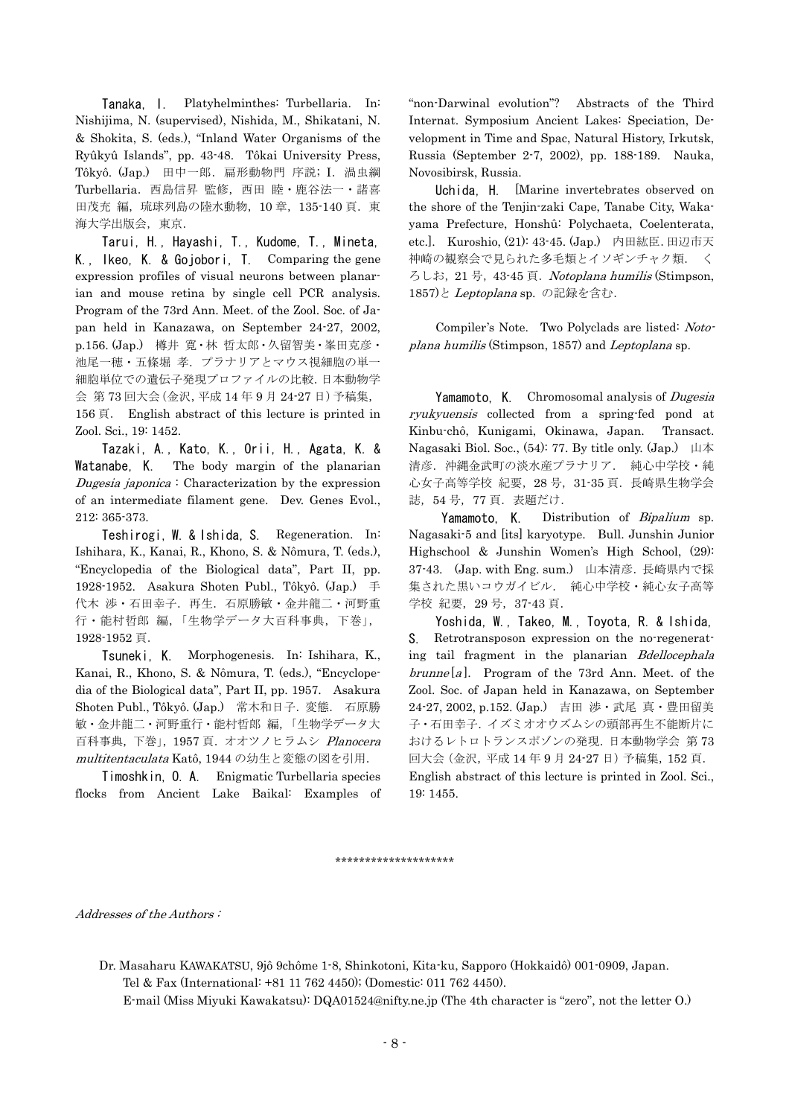Tanaka, I. Platyhelminthes: Turbellaria. In: Nishijima, N. (supervised), Nishida, M., Shikatani, N. & Shokita, S. (eds.), "Inland Water Organisms of the Ryûkyû Islands", pp. 43-48. Tôkai University Press, Tôkyô. (Jap.) 田中一郎. 扁形動物門 序説; I. 渦虫綱 Turbellaria. 西島信昇 監修, 西田 睦·鹿谷法一·諸喜 田茂充 編,琉球列島の陸水動物, 10 章, 135-140 頁. 東 海大学出版会,東京.

Tarui, H., Hayashi, T., Kudome, T., Mineta, K., Ikeo, K. & Gojobori, T. Comparing the gene expression profiles of visual neurons between planarian and mouse retina by single cell PCR analysis. Program of the 73rd Ann. Meet. of the Zool. Soc. of Japan held in Kanazawa, on September 24-27, 2002, p.156. (Jap.) 樽井 寛・林 哲太郎・久留智美・峯田克彦・ 池尾一穂・五條堀 孝.プラナリアとマウス視細胞の単一 細胞単位での遺伝子発現プロファイルの比較.日本動物学 会 第 73 回大会(金沢,平成 14 年 9 月 24-27 日)予稿集,

156 頁. English abstract of this lecture is printed in Zool. Sci., 19: 1452.

Tazaki, A., Kato, K., Orii, H., Agata, K. & Watanabe, K. The body margin of the planarian Dugesia japonica : Characterization by the expression of an intermediate filament gene. Dev. Genes Evol., 212: 365-373.

Teshirogi, W. & Ishida, S. Regeneration. In: Ishihara, K., Kanai, R., Khono, S. & Nômura, T. (eds.), "Encyclopedia of the Biological data", Part II, pp. 1928-1952. Asakura Shoten Publ., Tôkyô. (Jap.) 手 代木 渉・石田幸子. 再生. 石原勝敏・金井龍二・河野重 行・能村哲郎 編,「生物学データ大百科事典,下巻」, 1928-1952 頁.

Tsuneki, K. Morphogenesis. In: Ishihara, K., Kanai, R., Khono, S. & Nômura, T. (eds.), "Encyclopedia of the Biological data", Part II, pp. 1957. Asakura Shoten Publ., Tôkyô. (Jap.) 常木和日子.変態. 石原勝 敏・金井龍二・河野重行・能村哲郎 編,「生物学データ大 百科事典,下巻」,1957 頁.オオツノヒラムシ Planocera multitentaculata Katô, 1944 の幼生と変態の図を引用.

Timoshkin, O. A. Enigmatic Turbellaria species flocks from Ancient Lake Baikal: Examples of "non-Darwinal evolution"? Abstracts of the Third Internat. Symposium Ancient Lakes: Speciation, Development in Time and Spac, Natural History, Irkutsk, Russia (September 2-7, 2002), pp. 188-189. Nauka, Novosibirsk, Russia.

Uchida, H. [Marine invertebrates observed on the shore of the Tenjin-zaki Cape, Tanabe City, Wakayama Prefecture, Honshû: Polychaeta, Coelenterata, etc.]. Kuroshio, (21): 43-45. (Jap.) 内田紘臣.田辺市天 神崎の観察会で見られた多毛類とイソギンチャク類. く ろしお, 21号, 43-45 頁. Notoplana humilis (Stimpson, 1857)と Leptoplana sp. の記録を含む.

Compiler's Note. Two Polyclads are listed: Notoplana humilis (Stimpson, 1857) and Leptoplana sp.

Yamamoto, K. Chromosomal analysis of Dugesia ryukyuensis collected from a spring-fed pond at Kinbu-chô, Kunigami, Okinawa, Japan. Transact. Nagasaki Biol. Soc., (54): 77. By title only. (Jap.) 山本 清彦.沖縄金武町の淡水産プラナリア. 純心中学校・純 心女子高等学校 紀要, 28 号, 31-35 頁. 長崎県生物学会 誌,54 号,77 頁.表題だけ.

Yamamoto. K. Distribution of Bipalium sp. Nagasaki-5 and [its] karyotype. Bull. Junshin Junior Highschool & Junshin Women's High School, (29): 37-43. (Jap. with Eng. sum.) 山本清彦.長崎県内で採 集された黒いコウガイビル. 純心中学校・純心女子高等 学校 紀要,29 号,37-43 頁.

Yoshida, W., Takeo, M., Toyota, R. & Ishida, S. Retrotransposon expression on the no-regenerating tail fragment in the planarian Bdellocephala  $brunne[a]$ . Program of the 73rd Ann. Meet. of the Zool. Soc. of Japan held in Kanazawa, on September 24-27, 2002, p.152. (Jap.) 吉田 渉・武尾 真・豊田留美 子・石田幸子.イズミオオウズムシの頭部再生不能断片に おけるレトロトランスポゾンの発現.日本動物学会 第 73 回大会(金沢,平成 14 年 9 月 24-27 日)予稿集,152 頁. English abstract of this lecture is printed in Zool. Sci.,

19: 1455.

\*\*\*\*\*\*\*\*\*\*\*\*\*\*\*\*\*\*\*\*

Addresses of the Authors :

 Dr. Masaharu KAWAKATSU, 9jô 9chôme 1-8, Shinkotoni, Kita-ku, Sapporo (Hokkaidô) 001-0909, Japan. Tel & Fax (International: +81 11 762 4450); (Domestic: 011 762 4450).

E-mail (Miss Miyuki Kawakatsu): DQA01524@nifty.ne.jp (The 4th character is "zero", not the letter O.)